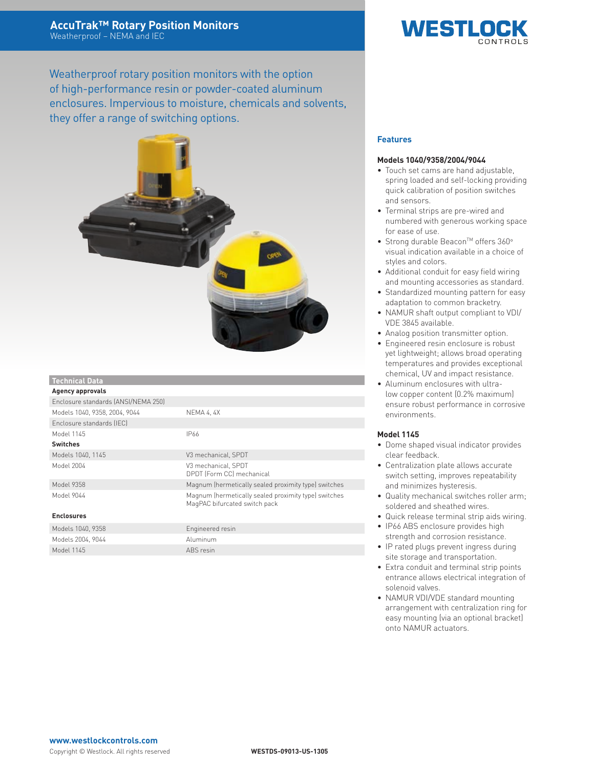Weatherproof rotary position monitors with the option of high-performance resin or powder-coated aluminum enclosures. Impervious to moisture, chemicals and solvents, they offer a range of switching options.



| <b>Technical Data</b>               |                                                                                       |  |  |  |  |  |  |
|-------------------------------------|---------------------------------------------------------------------------------------|--|--|--|--|--|--|
| <b>Agency approvals</b>             |                                                                                       |  |  |  |  |  |  |
| Enclosure standards (ANSI/NEMA 250) |                                                                                       |  |  |  |  |  |  |
| Models 1040, 9358, 2004, 9044       | NEMA 4, 4X                                                                            |  |  |  |  |  |  |
| Enclosure standards (IEC)           |                                                                                       |  |  |  |  |  |  |
| Model 1145                          | IP66                                                                                  |  |  |  |  |  |  |
| <b>Switches</b>                     |                                                                                       |  |  |  |  |  |  |
| Models 1040, 1145                   | V3 mechanical, SPDT                                                                   |  |  |  |  |  |  |
| Model 2004                          | V3 mechanical, SPDT<br>DPDT (Form CC) mechanical                                      |  |  |  |  |  |  |
| Model 9358                          | Magnum (hermetically sealed proximity type) switches                                  |  |  |  |  |  |  |
| Model 9044                          | Magnum (hermetically sealed proximity type) switches<br>MagPAC bifurcated switch pack |  |  |  |  |  |  |
| <b>Enclosures</b>                   |                                                                                       |  |  |  |  |  |  |
| Models 1040, 9358                   | Engineered resin                                                                      |  |  |  |  |  |  |

# **Features**

#### **Models 1040/9358/2004/9044**

• Touch set cams are hand adjustable, spring loaded and self-locking providing quick calibration of position switches and sensors.

**WESTLO** 

- Terminal strips are pre-wired and numbered with generous working space for ease of use.
- Strong durable Beacon™ offers 360° visual indication available in a choice of styles and colors.
- Additional conduit for easy field wiring and mounting accessories as standard.
- Standardized mounting pattern for easy adaptation to common bracketry.
- NAMUR shaft output compliant to VDI/ VDE 3845 available.
- Analog position transmitter option.
- Engineered resin enclosure is robust yet lightweight; allows broad operating temperatures and provides exceptional chemical, UV and impact resistance.
- • Aluminum enclosures with ultralow copper content (0.2% maximum) ensure robust performance in corrosive environments.

## **Model 1145**

- • Dome shaped visual indicator provides clear feedback.
- • Centralization plate allows accurate switch setting, improves repeatability and minimizes hysteresis.
- • Quality mechanical switches roller arm; soldered and sheathed wires.
- • Quick release terminal strip aids wiring.
- IP66 ABS enclosure provides high strength and corrosion resistance.
- • IP rated plugs prevent ingress during site storage and transportation.
- Extra conduit and terminal strip points entrance allows electrical integration of solenoid valves.
- NAMUR VDI/VDE standard mounting arrangement with centralization ring for easy mounting (via an optional bracket) onto NAMUR actuators.

#### Models 2004, 9044 **Aluminum** Model 1145 ABS resin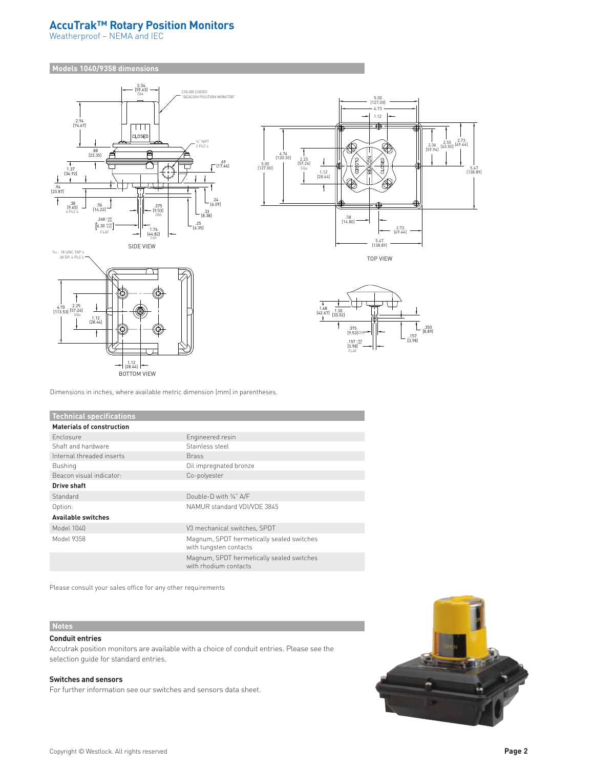# **AccuTrak™ Rotary Position Monitors**

Weatherproof – NEMA and IEC

**Models 1040/9358 dimensions**





TOP VIEW



Dimensions in inches, where available metric dimension (mm) in parentheses.

1.12 [28.44]

 $\overline{\phantom{0}}$ 

BOTTOM VIEW

| <b>Technical specifications</b>  |                                                                     |  |  |  |  |  |  |  |
|----------------------------------|---------------------------------------------------------------------|--|--|--|--|--|--|--|
| <b>Materials of construction</b> |                                                                     |  |  |  |  |  |  |  |
| <b>Enclosure</b>                 | Engineered resin                                                    |  |  |  |  |  |  |  |
| Shaft and hardware               | Stainless steel                                                     |  |  |  |  |  |  |  |
| Internal threaded inserts        | <b>Brass</b>                                                        |  |  |  |  |  |  |  |
| <b>Bushing</b>                   | Oil impregnated bronze                                              |  |  |  |  |  |  |  |
| Beacon visual indicator:         | Co-polyester                                                        |  |  |  |  |  |  |  |
| Drive shaft                      |                                                                     |  |  |  |  |  |  |  |
| Standard                         | Double-D with 1/4" A/F                                              |  |  |  |  |  |  |  |
| Option:                          | NAMUR standard VDI/VDE 3845                                         |  |  |  |  |  |  |  |
| <b>Available switches</b>        |                                                                     |  |  |  |  |  |  |  |
| Model 1040                       | V3 mechanical switches, SPDT                                        |  |  |  |  |  |  |  |
| Model 9358                       | Magnum, SPDT hermetically sealed switches<br>with tungsten contacts |  |  |  |  |  |  |  |
|                                  | Magnum, SPDT hermetically sealed switches<br>with rhodium contacts  |  |  |  |  |  |  |  |

Please consult your sales office for any other requirements

# **Notes**

## **Conduit entries**

Accutrak position monitors are available with a choice of conduit entries. Please see the selection guide for standard entries.

## **Switches and sensors**

For further information see our switches and sensors data sheet.

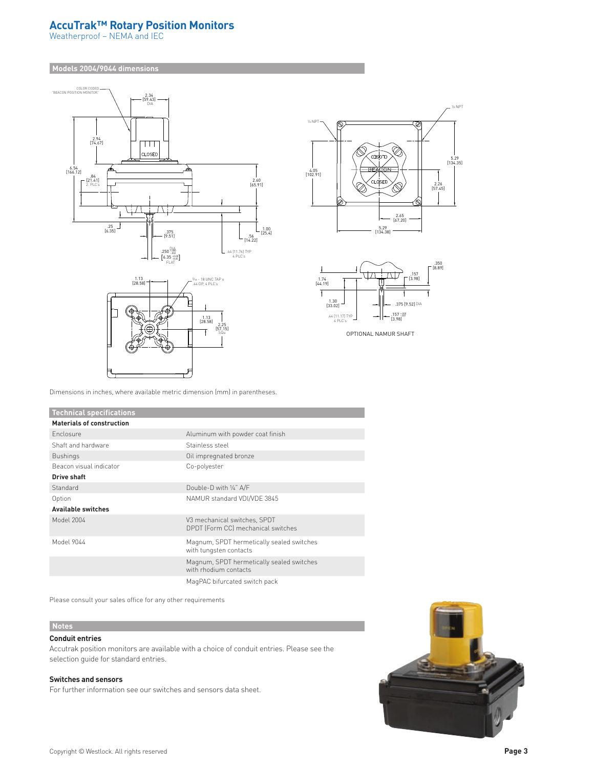# **AccuTrak™ Rotary Position Monitors**

Weatherproof – NEMA and IEC

#### **Models 2004/9044 dimensions**







OPTIONAL NAMUR SHAFT

Dimensions in inches, where available metric dimension (mm) in parentheses.

| <b>Technical specifications</b>  |                                                                     |  |  |  |  |  |  |
|----------------------------------|---------------------------------------------------------------------|--|--|--|--|--|--|
| <b>Materials of construction</b> |                                                                     |  |  |  |  |  |  |
| <b>Enclosure</b>                 | Aluminum with powder coat finish                                    |  |  |  |  |  |  |
| Shaft and hardware               | Stainless steel                                                     |  |  |  |  |  |  |
| <b>Bushings</b>                  | Oil impregnated bronze                                              |  |  |  |  |  |  |
| Beacon visual indicator          | Co-polyester                                                        |  |  |  |  |  |  |
| Drive shaft                      |                                                                     |  |  |  |  |  |  |
| Standard                         | Double-D with 1/4" A/F                                              |  |  |  |  |  |  |
| Option                           | NAMUR standard VDI/VDE 3845                                         |  |  |  |  |  |  |
| <b>Available switches</b>        |                                                                     |  |  |  |  |  |  |
| Model 2004                       | V3 mechanical switches, SPDT<br>DPDT (Form CC) mechanical switches  |  |  |  |  |  |  |
| Model 9044                       | Magnum, SPDT hermetically sealed switches<br>with tungsten contacts |  |  |  |  |  |  |
|                                  | Magnum, SPDT hermetically sealed switches<br>with rhodium contacts  |  |  |  |  |  |  |
|                                  | MagPAC bifurcated switch pack                                       |  |  |  |  |  |  |

Please consult your sales office for any other requirements

# **Notes**

## **Conduit entries**

Accutrak position monitors are available with a choice of conduit entries. Please see the selection guide for standard entries.

#### **Switches and sensors**

For further information see our switches and sensors data sheet.

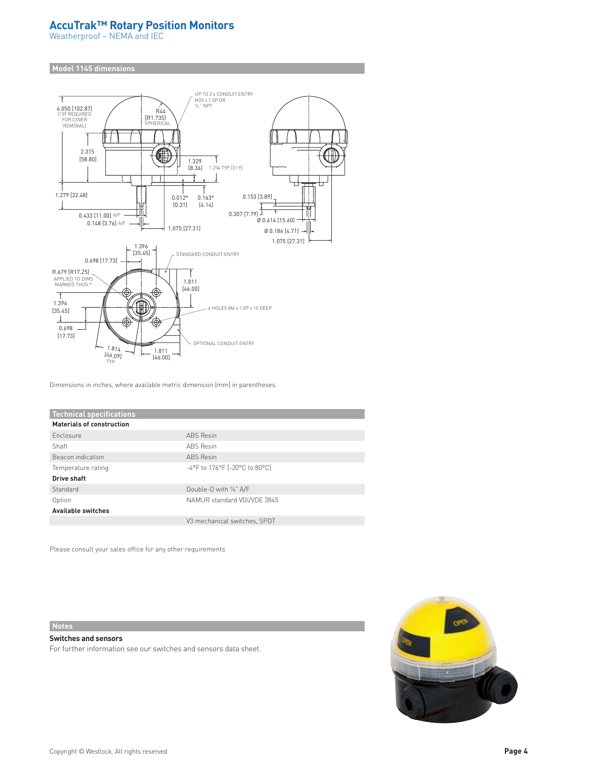# **AccuTrak™ Rotary Position Monitors**

Weatherproof – NEMA and IEC

#### **Model 1145 dimensions**



Dimensions in inches, where available metric dimension (mm) in parentheses.

| <b>Technical specifications</b>  |                                          |  |  |  |  |  |
|----------------------------------|------------------------------------------|--|--|--|--|--|
| <b>Materials of construction</b> |                                          |  |  |  |  |  |
| Enclosure                        | <b>ABS</b> Resin                         |  |  |  |  |  |
| Shaft                            | <b>ABS</b> Resin                         |  |  |  |  |  |
| Beacon indication                | <b>ABS</b> Resin                         |  |  |  |  |  |
| Temperature rating               | -4°F to 176°F [-20°C to 80°C]            |  |  |  |  |  |
| Drive shaft                      |                                          |  |  |  |  |  |
| Standard                         | Double-D with 1/4" A/F                   |  |  |  |  |  |
| Option                           | NAMUR standard VDI/VDE 3845              |  |  |  |  |  |
| <b>Available switches</b>        |                                          |  |  |  |  |  |
|                                  | V <sub>3</sub> mechanical switches, SPDT |  |  |  |  |  |

Please consult your sales office for any other requirements

**Notes**

**Switches and sensors** For further information see our switches and sensors data sheet.

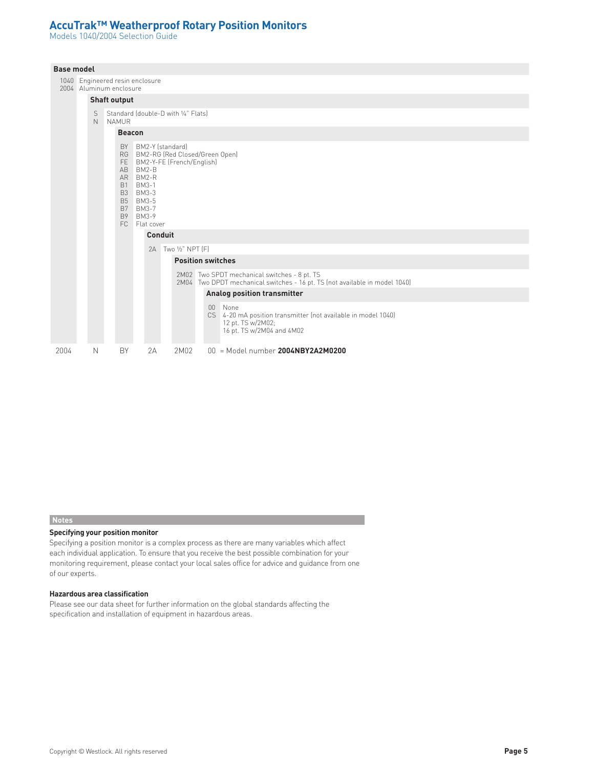# **AccuTrak™ Weatherproof Rotary Position Monitors**

Models 1040/2004 Selection Guide

| <b>Base model</b> |  |        |                                                            |               |                                                                                                                     |                     |                              |                                                                                                                                   |  |  |
|-------------------|--|--------|------------------------------------------------------------|---------------|---------------------------------------------------------------------------------------------------------------------|---------------------|------------------------------|-----------------------------------------------------------------------------------------------------------------------------------|--|--|
|                   |  |        | 1040 Engineered resin enclosure<br>2004 Aluminum enclosure |               |                                                                                                                     |                     |                              |                                                                                                                                   |  |  |
|                   |  |        | <b>Shaft output</b>                                        |               |                                                                                                                     |                     |                              |                                                                                                                                   |  |  |
|                   |  | S<br>N | Standard (double-D with 1/4" Flats)<br><b>NAMUR</b>        |               |                                                                                                                     |                     |                              |                                                                                                                                   |  |  |
|                   |  |        |                                                            | <b>Beacon</b> |                                                                                                                     |                     |                              |                                                                                                                                   |  |  |
|                   |  |        |                                                            |               | AB BM2-B<br>AR BM2-R<br>B1 BM3-1<br>B3 BM3-3<br>B5 BM3-5<br>B7 BM3-7<br>B9 BM3-9<br>FC Flat cover<br><b>Conduit</b> | BY BM2-Y (standard) | FE BM2-Y-FE (French/English) | RG BM2-RG (Red Closed/Green Open)                                                                                                 |  |  |
|                   |  |        |                                                            |               | 2A                                                                                                                  |                     | Two 1/2" NPT [F]             |                                                                                                                                   |  |  |
|                   |  |        |                                                            |               |                                                                                                                     |                     |                              | <b>Position switches</b>                                                                                                          |  |  |
|                   |  |        |                                                            |               |                                                                                                                     |                     |                              | 2M02 Two SPDT mechanical switches - 8 pt. TS<br>2M04 Two DPDT mechanical switches - 16 pt. TS (not available in model 1040)       |  |  |
|                   |  |        |                                                            |               |                                                                                                                     |                     |                              | Analog position transmitter                                                                                                       |  |  |
|                   |  |        |                                                            |               |                                                                                                                     |                     |                              | None<br>$00\,$<br>CS 4-20 mA position transmitter (not available in model 1040)<br>12 pt. TS w/2M02;<br>16 pt. TS w/2M04 and 4M02 |  |  |
| 2004              |  | N      | BY                                                         |               | 2A                                                                                                                  |                     | 2M02                         | $00 =$ Model number 2004NBY2A2M0200                                                                                               |  |  |

#### **Notes**

#### **Specifying your position monitor**

Specifying a position monitor is a complex process as there are many variables which affect each individual application. To ensure that you receive the best possible combination for your monitoring requirement, please contact your local sales office for advice and guidance from one of our experts.

#### **Hazardous area classification**

Please see our data sheet for further information on the global standards affecting the specification and installation of equipment in hazardous areas.